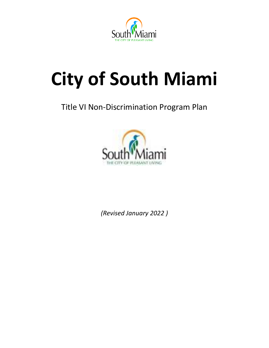

# **City of South Miami**

## Title VI Non-Discrimination Program Plan



*(Revised January 2022 )*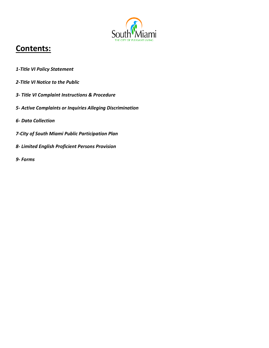

## **Contents:**

- *1-Title VI Policy Statement*
- *2-Title VI Notice to the Public*
- *3- Title VI Complaint Instructions & Procedure*
- *5- Active Complaints or Inquiries Alleging Discrimination*
- *6- Data Collection*
- *7-City of South Miami Public Participation Plan*
- *8- Limited English Proficient Persons Provision*
- *9- Forms*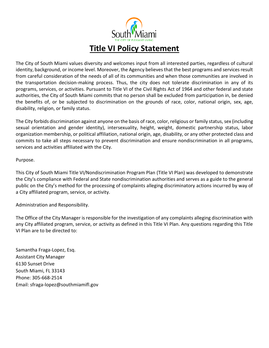

The City of South Miami values diversity and welcomes input from all interested parties, regardless of cultural identity, background, or income level. Moreover, the Agency believes that the best programs and services result from careful consideration of the needs of all of its communities and when those communities are involved in the transportation decision-making process. Thus, the city does not tolerate discrimination in any of its programs, services, or activities. Pursuant to Title VI of the Civil Rights Act of 1964 and other federal and state authorities, the City of South Miami commits that no person shall be excluded from participation in, be denied the benefits of, or be subjected to discrimination on the grounds of race, color, national origin, sex, age, disability, religion, or family status.

The City forbids discrimination against anyone on the basis of race, color, religious or family status, sex (including sexual orientation and gender identity), intersexuality, height, weight, domestic partnership status, labor organization membership, or political affiliation, national origin, age, disability, or any other protected class and commits to take all steps necessary to prevent discrimination and ensure nondiscrimination in all programs, services and activities affiliated with the City.

Purpose.

This City of South Miami Title VI/Nondiscrimination Program Plan (Title VI Plan) was developed to demonstrate the City's compliance with Federal and State nondiscrimination authorities and serves as a guide to the general public on the City's method for the processing of complaints alleging discriminatory actions incurred by way of a City affiliated program, service, or activity.

Administration and Responsibility.

The Office of the City Manager is responsible for the investigation of any complaints alleging discrimination with any City affiliated program, service, or activity as defined in this Title VI Plan. Any questions regarding this Title VI Plan are to be directed to:

Samantha Fraga-Lopez, Esq. Assistant City Manager 6130 Sunset Drive South Miami, FL 33143 Phone: 305-668-2514 Email: sfraga-lopez@southmiamifl.gov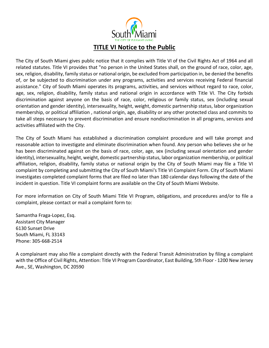

The City of South Miami gives public notice that it complies with Title VI of the Civil Rights Act of 1964 and all related statutes. Title VI provides that "no person in the United States shall, on the ground of race, color, age, sex, religion, disability, family status or national origin, be excluded from participation in, be denied the benefits of, or be subjected to discrimination under any programs, activities and services receiving Federal financial assistance." City of South Miami operates its programs, activities, and services without regard to race, color, age, sex, religion, disability, family status and national origin in accordance with Title VI. The City forbids discrimination against anyone on the basis of race, color, religious or family status, sex (including sexual orientation and gender identity), intersexuality, height, weight, domestic partnership status, labor organization membership, or political affiliation , national origin, age, disability or any other protected class and commits to take all steps necessary to prevent discrimination and ensure nondiscrimination in all programs, services and activities affiliated with the City.

The City of South Miami has established a discrimination complaint procedure and will take prompt and reasonable action to investigate and eliminate discrimination when found. Any person who believes she or he has been discriminated against on the basis of race, color, age, sex (including sexual orientation and gender identity), intersexuality, height, weight, domestic partnership status, labor organization membership, or political affiliation, religion, disability, family status or national origin by the City of South Miami may file a Title VI complaint by completing and submitting the City of South Miami's Title VI Complaint Form. City of South Miami investigates completed complaint forms that are filed no later than 180 calendar days following the date of the incident in question. Title VI complaint forms are available on the City of South Miami Website.

For more information on City of South Miami Title VI Program, obligations, and procedures and/or to file a complaint, please contact or mail a complaint form to:

Samantha Fraga-Lopez, Esq. Assistant City Manager 6130 Sunset Drive South Miami, FL 33143 Phone: 305-668-2514

A complainant may also file a complaint directly with the Federal Transit Administration by filing a complaint with the Office of Civil Rights, Attention: Title VI Program Coordinator, East Building, 5th Floor - 1200 New Jersey Ave., SE, Washington, DC 20590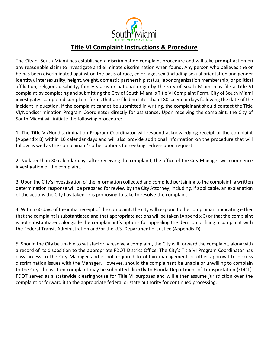

### **Title VI Complaint Instructions & Procedure**

The City of South Miami has established a discrimination complaint procedure and will take prompt action on any reasonable claim to investigate and eliminate discrimination when found. Any person who believes she or he has been discriminated against on the basis of race, color, age, sex (including sexual orientation and gender identity), intersexuality, height, weight, domestic partnership status, labor organization membership, or political affiliation, religion, disability, family status or national origin by the City of South Miami may file a Title VI complaint by completing and submitting the City of South Miami's Title VI Complaint Form. City of South Miami investigates completed complaint forms that are filed no later than 180 calendar days following the date of the incident in question. If the complaint cannot be submitted in writing, the complainant should contact the Title VI/Nondiscrimination Program Coordinator directly for assistance. Upon receiving the complaint, the City of South Miami will initiate the following procedure:

1. The Title VI/Nondiscrimination Program Coordinator will respond acknowledging receipt of the complaint (Appendix B) within 10 calendar days and will also provide additional information on the procedure that will follow as well as the complainant's other options for seeking redress upon request.

2. No later than 30 calendar days after receiving the complaint, the office of the City Manager will commence investigation of the complaint.

3. Upon the City's investigation of the information collected and compiled pertaining to the complaint, a written determination response will be prepared for review by the City Attorney, including, if applicable, an explanation of the actions the City has taken or is proposing to take to resolve the complaint.

4. Within 60 days of the initial receipt of the complaint, the city will respond to the complainant indicating either that the complaint is substantiated and that appropriate actions will be taken (Appendix C) or that the complaint is not substantiated, alongside the complainant's options for appealing the decision or filing a complaint with the Federal Transit Administration and/or the U.S. Department of Justice (Appendix D).

5. Should the City be unable to satisfactorily resolve a complaint, the City will forward the complaint, along with a record of its disposition to the appropriate FDOT District Office. The City's Title VI Program Coordinator has easy access to the City Manager and is not required to obtain management or other approval to discuss discrimination issues with the Manager. However, should the complainant be unable or unwilling to complain to the City, the written complaint may be submitted directly to Florida Department of Transportation (FDOT). FDOT serves as a statewide clearinghouse for Title VI purposes and will either assume jurisdiction over the complaint or forward it to the appropriate federal or state authority for continued processing: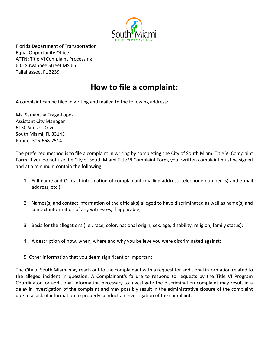

Florida Department of Transportation Equal Opportunity Office ATTN: Title VI Complaint Processing 605 Suwannee Street MS 65 Tallahassee, FL 3239

## **How to file a complaint:**

A complaint can be filed in writing and mailed to the following address:

Ms. Samantha Fraga-Lopez Assistant City Manager 6130 Sunset Drive South Miami, FL 33143 Phone: 305-668-2514

The preferred method is to file a complaint in writing by completing the City of South Miami Title VI Complaint Form. If you do not use the City of South Miami Title VI Complaint Form, your written complaint must be signed and at a minimum contain the following:

- 1. Full name and Contact information of complainant (mailing address, telephone number (s) and e-mail address, etc.);
- 2. Names(s) and contact information of the official(s) alleged to have discriminated as well as name(s) and contact information of any witnesses, if applicable;
- 3. Basis for the allegations (i.e., race, color, national origin, sex, age, disability, religion, family status);
- 4. A description of how, when, where and why you believe you were discriminated against;
- 5. Other information that you deem significant or important

The City of South Miami may reach out to the complainant with a request for additional information related to the alleged incident in question. A Complainant's failure to respond to requests by the Title VI Program Coordinator for additional information necessary to investigate the discrimination complaint may result in a delay in investigation of the complaint and may possibly result in the administrative closure of the complaint due to a lack of information to properly conduct an investigation of the complaint.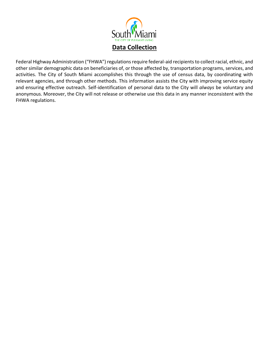

Federal Highway Administration ("FHWA") regulations require federal-aid recipients to collect racial, ethnic, and other similar demographic data on beneficiaries of, or those affected by, transportation programs, services, and activities. The City of South Miami accomplishes this through the use of census data, by coordinating with relevant agencies, and through other methods. This information assists the City with improving service equity and ensuring effective outreach. Self-identification of personal data to the City will *always* be voluntary and anonymous. Moreover, the City will not release or otherwise use this data in any manner inconsistent with the FHWA regulations.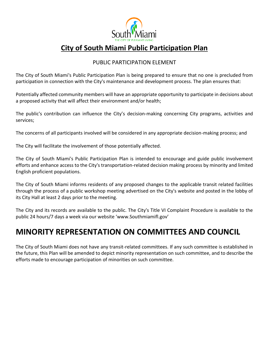

## **City of South Miami Public Participation Plan**

#### PUBLIC PARTICIPATION ELEMENT

The City of South Miami's Public Participation Plan is being prepared to ensure that no one is precluded from participation in connection with the City's maintenance and development process. The plan ensures that:

Potentially affected community members will have an appropriate opportunity to participate in decisions about a proposed activity that will affect their environment and/or health;

The public's contribution can influence the City's decision-making concerning City programs, activities and services;

The concerns of all participants involved will be considered in any appropriate decision-making process; and

The City will facilitate the involvement of those potentially affected.

The City of South Miami's Public Participation Plan is intended to encourage and guide public involvement efforts and enhance access to the City's transportation-related decision making process by minority and limited English proficient populations.

The City of South Miami informs residents of any proposed changes to the applicable transit related facilities through the process of a public workshop meeting advertised on the City's website and posted in the lobby of its City Hall at least 2 days prior to the meeting.

The City and its records are available to the public. The City's Title VI Complaint Procedure is available to the public 24 hours/7 days a week via our website 'www.Southmiamifl.gov'

## **MINORITY REPRESENTATION ON COMMITTEES AND COUNCIL**

The City of South Miami does not have any transit-related committees. If any such committee is established in the future, this Plan will be amended to depict minority representation on such committee, and to describe the efforts made to encourage participation of minorities on such committee.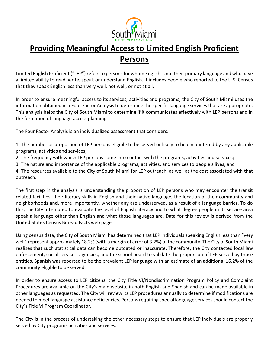

## **Providing Meaningful Access to Limited English Proficient Persons**

Limited English Proficient ("LEP") refers to persons for whom English is not their primary language and who have a limited ability to read, write, speak or understand English. It includes people who reported to the U.S. Census that they speak English less than very well, not well, or not at all.

In order to ensure meaningful access to its services, activities and programs, the City of South Miami uses the information obtained in a Four Factor Analysis to determine the specific language services that are appropriate. This analysis helps the City of South Miami to determine if it communicates effectively with LEP persons and in the formation of language access planning.

The Four Factor Analysis is an individualized assessment that considers:

1. The number or proportion of LEP persons eligible to be served or likely to be encountered by any applicable programs, activities and services;

2. The frequency with which LEP persons come into contact with the programs, activities and services;

3. The nature and importance of the applicable programs, activities, and services to people's lives; and

4. The resources available to the City of South Miami for LEP outreach, as well as the cost associated with that outreach.

The first step in the analysis is understanding the proportion of LEP persons who may encounter the transit related facilities, their literacy skills in English and their native language, the location of their community and neighborhoods and, more importantly, whether any are underserved, as a result of a language barrier. To do this, the City attempted to evaluate the level of English literacy and to what degree people in its service area speak a language other than English and what those languages are. Data for this review is derived from the United States Census Bureau Facts web page

Using census data, the City of South Miami has determined that LEP individuals speaking English less than "very well" represent approximately 18.2% (with a margin of error of 3.2%) of the community. The City of South Miami realizes that such statistical data can become outdated or inaccurate. Therefore, the City contacted local law enforcement, social services, agencies, and the school board to validate the proportion of LEP served by those entities. Spanish was reported to be the prevalent LEP language with an estimate of an additional 16.2% of the community eligible to be served.

In order to ensure access to LEP citizens, the City Title VI/Nondiscrimination Program Policy and Complaint Procedures are available on the City's main website in both English and Spanish and can be made available in other languages as requested. The City will review its LEP procedures annually to determine if modifications are needed to meet language assistance deficiencies. Persons requiring special language services should contact the City's Title VI Program Coordinator.

The City is in the process of undertaking the other necessary steps to ensure that LEP individuals are properly served by City programs activities and services.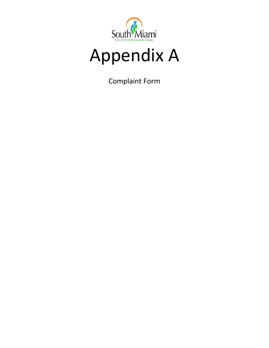

# Appendix A

Complaint Form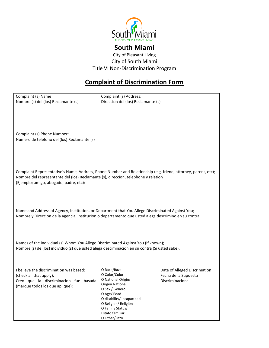

### **South Miami**

City of Pleasant Living City of South Miami Title VI Non-Discrimination Program

## **Complaint of Discrimination Form**

| Complaint (s) Name                                                                                            | Complaint (s) Address:             |                               |
|---------------------------------------------------------------------------------------------------------------|------------------------------------|-------------------------------|
| Nombre (s) del (los) Reclamante (s)                                                                           | Direccion del (los) Reclamante (s) |                               |
|                                                                                                               |                                    |                               |
|                                                                                                               |                                    |                               |
|                                                                                                               |                                    |                               |
|                                                                                                               |                                    |                               |
|                                                                                                               |                                    |                               |
| Complaint (s) Phone Number:                                                                                   |                                    |                               |
|                                                                                                               |                                    |                               |
| Numero de telefono del (los) Reclamante (s)                                                                   |                                    |                               |
|                                                                                                               |                                    |                               |
|                                                                                                               |                                    |                               |
|                                                                                                               |                                    |                               |
|                                                                                                               |                                    |                               |
|                                                                                                               |                                    |                               |
| Complaint Representative's Name, Address, Phone Number and Relationship (e.g. friend, attorney, parent, etc); |                                    |                               |
| Nombre del representante del (los) Reclamante (s), direccion, telephone y relation                            |                                    |                               |
| (Ejemplo; amigo, abogado, padre, etc):                                                                        |                                    |                               |
|                                                                                                               |                                    |                               |
|                                                                                                               |                                    |                               |
|                                                                                                               |                                    |                               |
|                                                                                                               |                                    |                               |
|                                                                                                               |                                    |                               |
| Name and Address of Agency, Institution, or Department that You Allege Discriminated Against You;             |                                    |                               |
| Nombre y Direccion de la agencia, institucion o departamento que usted alega descrimino en su contra;         |                                    |                               |
|                                                                                                               |                                    |                               |
|                                                                                                               |                                    |                               |
|                                                                                                               |                                    |                               |
|                                                                                                               |                                    |                               |
|                                                                                                               |                                    |                               |
| Names of the individual (s) Whom You Allege Discriminated Against You (if known);                             |                                    |                               |
| Nombre (s) de (los) individuo (s) que usted alega desciminacion en su contra (Si usted sabe).                 |                                    |                               |
|                                                                                                               |                                    |                               |
|                                                                                                               |                                    |                               |
|                                                                                                               |                                    |                               |
| I believe the discrimination was based:                                                                       | O Race/Raza                        | Date of Alleged Discrimation: |
| (check all that apply):                                                                                       | O Color/Color                      | Fecha de la Supuesta          |
| Creo que la discriminacion fue basada                                                                         | O National Origin/                 | Discriminacion:               |
|                                                                                                               | Origen National                    |                               |
| (marque todos los que aplique):                                                                               | O Sex / Genero                     |                               |
|                                                                                                               | O Age/Edad                         |                               |
|                                                                                                               | O disability/ incapacidad          |                               |
|                                                                                                               | O Religion/ Religión               |                               |
|                                                                                                               | O Family Status/                   |                               |
|                                                                                                               | Estato familiar                    |                               |
|                                                                                                               | O Other/Otro                       |                               |
|                                                                                                               |                                    |                               |